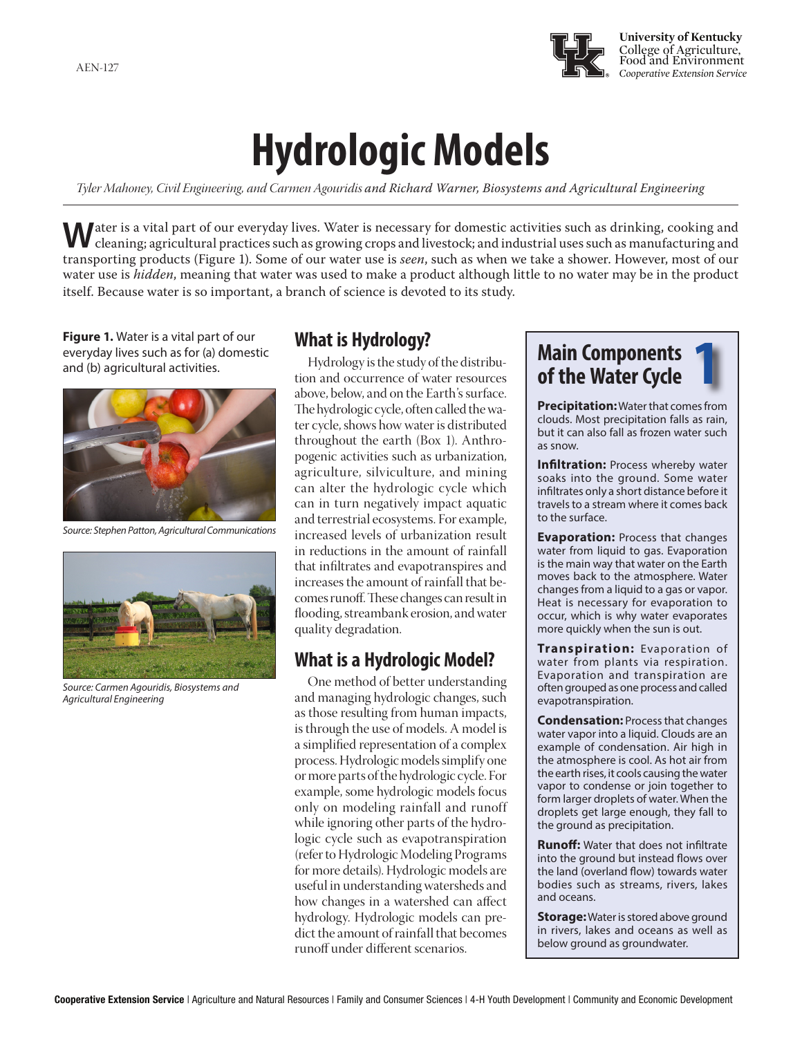

# **Hydrologic Models**

*Tyler Mahoney, Civil Engineering, and Carmen Agouridis and Richard Warner, Biosystems and Agricultural Engineering*

**W**ater is a vital part of our everyday lives. Water is necessary for domestic activities such as drinking, cooking and cleaning; agricultural practices such as growing crops and livestock; and industrial uses such as manufacturing and transporting products (Figure 1). Some of our water use is *seen*, such as when we take a shower. However, most of our water use is *hidden*, meaning that water was used to make a product although little to no water may be in the product itself. Because water is so important, a branch of science is devoted to its study.

**Figure 1.** Water is a vital part of our everyday lives such as for (a) domestic and (b) agricultural activities.



*Source: Stephen Patton, Agricultural Communications*



*Source: Carmen Agouridis, Biosystems and Agricultural Engineering*

# **What is Hydrology?**

Hydrology is the study of the distribution and occurrence of water resources above, below, and on the Earth's surface. The hydrologic cycle, often called the water cycle, shows how water is distributed throughout the earth (Box 1). Anthropogenic activities such as urbanization, agriculture, silviculture, and mining can alter the hydrologic cycle which can in turn negatively impact aquatic and terrestrial ecosystems. For example, increased levels of urbanization result in reductions in the amount of rainfall that infiltrates and evapotranspires and increases the amount of rainfall that becomes runoff. These changes can result in flooding, streambank erosion, and water quality degradation.

# **What is a Hydrologic Model?**

a process. Hydrologic models simplify one b hydrology. Hydrologic models can pre-One method of better understanding and managing hydrologic changes, such as those resulting from human impacts, is through the use of models. A model is a simplified representation of a complex or more parts of the hydrologic cycle. For example, some hydrologic models focus only on modeling rainfall and runoff while ignoring other parts of the hydrologic cycle such as evapotranspiration (refer to Hydrologic Modeling Programs for more details). Hydrologic models are useful in understanding watersheds and how changes in a watershed can affect dict the amount of rainfall that becomes runoff under different scenarios.

# **Main Components of the Water Cycle 1**

**Precipitation:** Water that comes from clouds. Most precipitation falls as rain, but it can also fall as frozen water such as snow.

**Infiltration:** Process whereby water soaks into the ground. Some water infiltrates only a short distance before it travels to a stream where it comes back to the surface.

**Evaporation:** Process that changes water from liquid to gas. Evaporation is the main way that water on the Earth moves back to the atmosphere. Water changes from a liquid to a gas or vapor. Heat is necessary for evaporation to occur, which is why water evaporates more quickly when the sun is out.

**Transpiration:** Evaporation of water from plants via respiration. Evaporation and transpiration are often grouped as one process and called evapotranspiration.

**Condensation:** Process that changes water vapor into a liquid. Clouds are an example of condensation. Air high in the atmosphere is cool. As hot air from the earth rises, it cools causing the water vapor to condense or join together to form larger droplets of water. When the droplets get large enough, they fall to the ground as precipitation.

**Runoff:** Water that does not infiltrate into the ground but instead flows over the land (overland flow) towards water bodies such as streams, rivers, lakes and oceans.

**Storage:** Water is stored above ground in rivers, lakes and oceans as well as below ground as groundwater.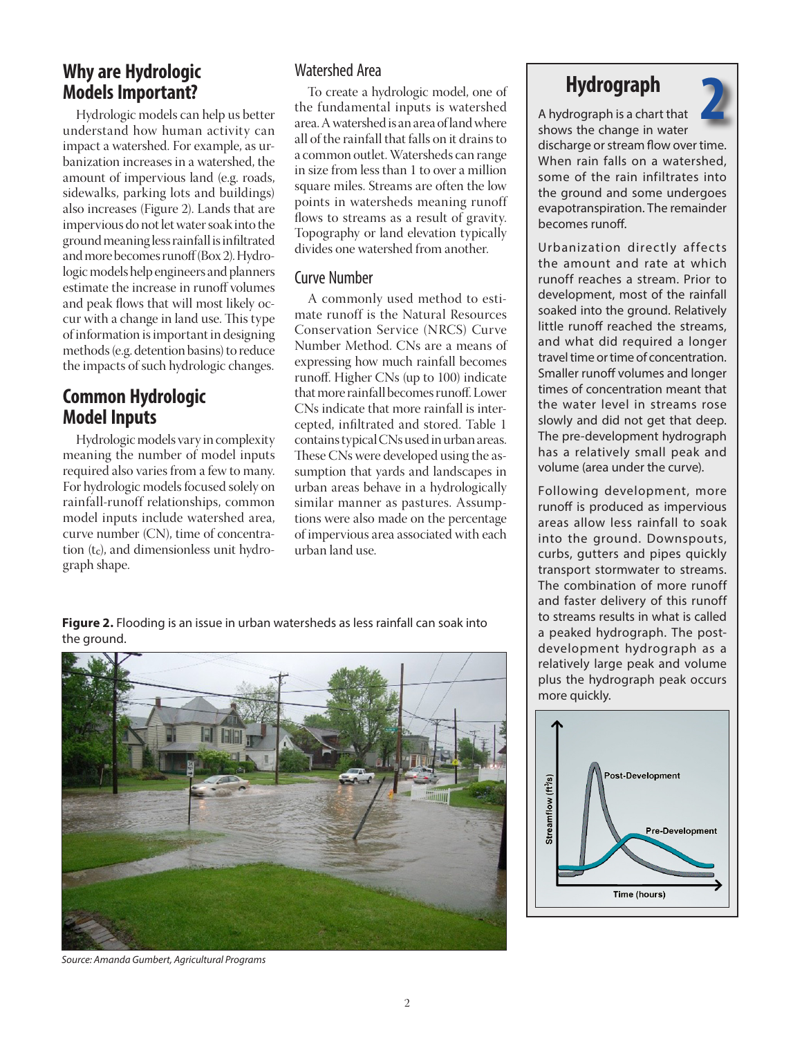# **Why are Hydrologic Models Important?**

Hydrologic models can help us better understand how human activity can impact a watershed. For example, as urbanization increases in a watershed, the amount of impervious land (e.g. roads, sidewalks, parking lots and buildings) also increases (Figure 2). Lands that are impervious do not let water soak into the ground meaning less rainfall is infiltrated and more becomes runoff (Box 2). Hydrologic models help engineers and planners estimate the increase in runoff volumes and peak flows that will most likely occur with a change in land use. This type of information is important in designing methods (e.g. detention basins) to reduce the impacts of such hydrologic changes.

# **Common Hydrologic Model Inputs**

Hydrologic models vary in complexity meaning the number of model inputs required also varies from a few to many. For hydrologic models focused solely on rainfall-runoff relationships, common model inputs include watershed area, curve number (CN), time of concentration  $(t_c)$ , and dimensionless unit hydrograph shape.

## Watershed Area

To create a hydrologic model, one of the fundamental inputs is watershed area. A watershed is an area of land where all of the rainfall that falls on it drains to a common outlet. Watersheds can range in size from less than 1 to over a million square miles. Streams are often the low points in watersheds meaning runoff flows to streams as a result of gravity. Topography or land elevation typically divides one watershed from another.

#### Curve Number

A commonly used method to estimate runoff is the Natural Resources Conservation Service (NRCS) Curve Number Method. CNs are a means of expressing how much rainfall becomes runoff. Higher CNs (up to 100) indicate that more rainfall becomes runoff. Lower CNs indicate that more rainfall is intercepted, infiltrated and stored. Table 1 contains typical CNs used in urban areas. These CNs were developed using the assumption that yards and landscapes in urban areas behave in a hydrologically similar manner as pastures. Assumptions were also made on the percentage of impervious area associated with each urban land use.

**Figure 2.** Flooding is an issue in urban watersheds as less rainfall can soak into the ground.



# **Hydrograph**



A hydrograph is a chart that shows the change in water discharge or stream flow over time. When rain falls on a watershed, some of the rain infiltrates into the ground and some undergoes evapotranspiration. The remainder becomes runoff.

Urbanization directly affects the amount and rate at which runoff reaches a stream. Prior to development, most of the rainfall soaked into the ground. Relatively little runoff reached the streams, and what did required a longer travel time or time of concentration. Smaller runoff volumes and longer times of concentration meant that the water level in streams rose slowly and did not get that deep. The pre-development hydrograph has a relatively small peak and volume (area under the curve).

Following development, more runoff is produced as impervious areas allow less rainfall to soak into the ground. Downspouts, curbs, gutters and pipes quickly transport stormwater to streams. The combination of more runoff and faster delivery of this runoff to streams results in what is called a peaked hydrograph. The postdevelopment hydrograph as a relatively large peak and volume plus the hydrograph peak occurs more quickly.



*Source: Amanda Gumbert, Agricultural Programs*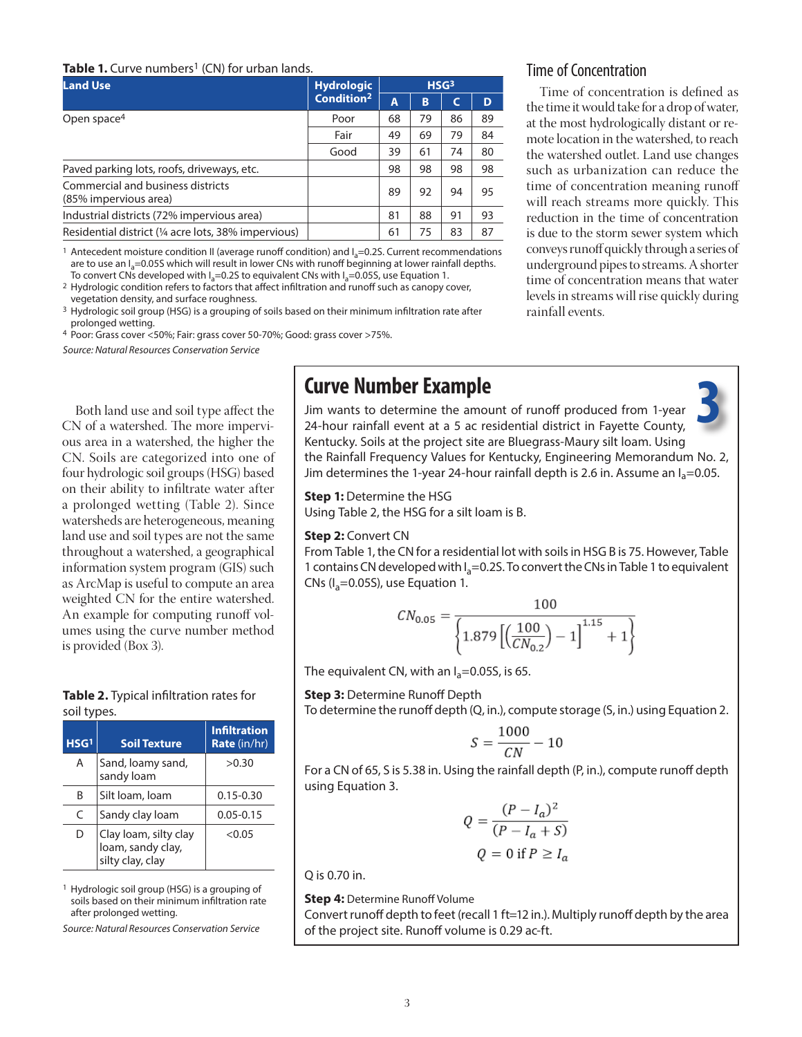#### **Table 1.** Curve numbers<sup>1</sup> (CN) for urban lands.

| <b>Land Use</b>                                            | <b>Hydrologic</b>      | HSG <sup>3</sup> |    |    |    |
|------------------------------------------------------------|------------------------|------------------|----|----|----|
|                                                            | Condition <sup>2</sup> |                  | B  | C  | D  |
| Open space <sup>4</sup>                                    | Poor                   | 68               | 79 | 86 | 89 |
|                                                            | Fair                   | 49               | 69 | 79 | 84 |
|                                                            | Good                   | 39               | 61 | 74 | 80 |
| Paved parking lots, roofs, driveways, etc.                 |                        | 98               | 98 | 98 | 98 |
| Commercial and business districts<br>(85% impervious area) |                        | 89               | 92 | 94 | 95 |
| Industrial districts (72% impervious area)                 |                        | 81               | 88 | 91 | 93 |
| Residential district (1/4 acre lots, 38% impervious)       |                        | 61               | 75 | 83 | 87 |

<sup>1</sup> Antecedent moisture condition II (average runoff condition) and  $I_a=0.2S$ . Current recommendations are to use an  $I_a$ =0.05S which will result in lower CNs with runoff beginning at lower rainfall depths.<br>To convert CNs developed with  $I_a$ =0.2S to equivalent CNs with  $I_a$ =0.05S, use Equation 1.

<sup>2</sup> Hydrologic condition refers to factors that affect infiltration and runoff such as canopy cover, vegetation density, and surface roughness.

<sup>3</sup> Hydrologic soil group (HSG) is a grouping of soils based on their minimum infiltration rate after prolonged wetting.

4 Poor: Grass cover <50%; Fair: grass cover 50-70%; Good: grass cover >75%.

*Source: Natural Resources Conservation Service*

Both land use and soil type affect the CN of a watershed. The more impervious area in a watershed, the higher the CN. Soils are categorized into one of four hydrologic soil groups (HSG) based on their ability to infiltrate water after a prolonged wetting (Table 2). Since watersheds are heterogeneous, meaning land use and soil types are not the same throughout a watershed, a geographical information system program (GIS) such as ArcMap is useful to compute an area weighted CN for the entire watershed. An example for computing runoff volumes using the curve number method is provided (Box 3).

#### **Table 2.** Typical infiltration rates for soil types.

| HSG <sup>1</sup> | <b>Soil Texture</b>                                            | <b>Infiltration</b><br><b>Rate</b> (in/hr) |
|------------------|----------------------------------------------------------------|--------------------------------------------|
| A                | Sand, loamy sand,<br>sandy loam                                | >0.30                                      |
| B                | Silt Ioam, Ioam                                                | $0.15 - 0.30$                              |
| C                | Sandy clay loam                                                | $0.05 - 0.15$                              |
| D                | Clay loam, silty clay<br>loam, sandy clay,<br>silty clay, clay | < 0.05                                     |

1 Hydrologic soil group (HSG) is a grouping of soils based on their minimum infiltration rate after prolonged wetting.

*Source: Natural Resources Conservation Service*

# **Curve Number Example**

### Time of Concentration

Time of concentration is defined as the time it would take for a drop of water, at the most hydrologically distant or remote location in the watershed, to reach the watershed outlet. Land use changes such as urbanization can reduce the time of concentration meaning runoff will reach streams more quickly. This reduction in the time of concentration is due to the storm sewer system which conveys runoff quickly through a series of underground pipes to streams. A shorter time of concentration means that water levels in streams will rise quickly during rainfall events.

Jim wants to determine the amount of runoff produced from 1-year 24-hour rainfall event at a 5 ac residential district in Fayette County, Kentucky. Soils at the project site are Bluegrass-Maury silt loam. Using the Rainfall Frequency Values for Kentucky, Engineering Memorandum No. 2, Jim determines the 1-year 24-hour rainfall depth is 2.6 in. Assume an  $I_a=0.05$ . **3**

**Step 1:** Determine the HSG Using Table 2, the HSG for a silt loam is B.

#### **Step 2:** Convert CN

From Table 1, the CN for a residential lot with soils in HSG B is 75. However, Table 1 contains CN developed with  $I_a = 0.25$ . To convert the CNs in Table 1 to equivalent CNs ( $I_a$ =0.05S), use Equation 1.

$$
CN_{0.05} = \frac{100}{\left\{1.879\left[\left(\frac{100}{CN_{0.2}}\right) - 1\right]^{1.15} + 1\right\}}
$$

The equivalent CN, with an  $I_a=0.05S$ , is 65.

**Step 3:** Determine Runoff Depth

To determine the runoff depth (Q, in.), compute storage (S, in.) using Equation 2.

$$
S=\frac{1000}{CN}-10
$$

For a CN of 65, S is 5.38 in. Using the rainfall depth (P, in.), compute runoff depth using Equation 3.

$$
Q = \frac{(P - I_a)^2}{(P - I_a + S)}
$$
  

$$
Q = 0 \text{ if } P \ge I_a
$$

Q is 0.70 in.

**Step 4:** Determine Runoff Volume

Convert runoff depth to feet (recall 1 ft=12 in.). Multiply runoff depth by the area of the project site. Runoff volume is 0.29 ac-ft.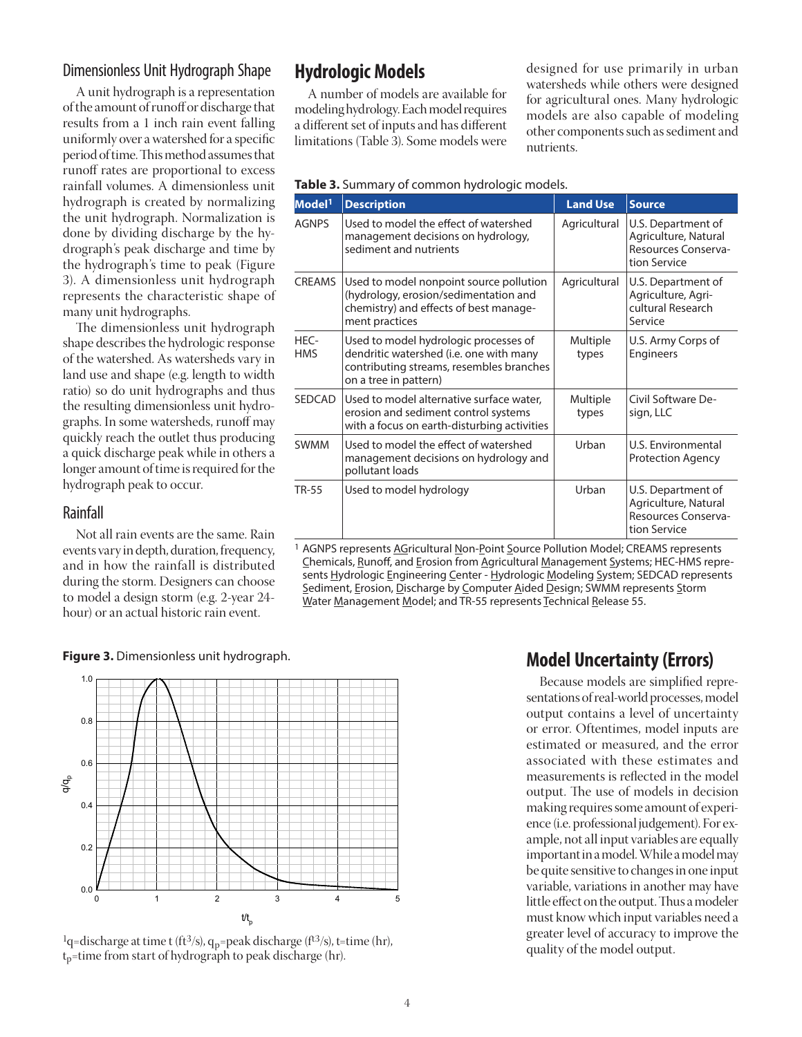#### Dimensionless Unit Hydrograph Shape

A unit hydrograph is a representation of the amount of runoff or discharge that results from a 1 inch rain event falling uniformly over a watershed for a specific period of time. This method assumes that runoff rates are proportional to excess rainfall volumes. A dimensionless unit hydrograph is created by normalizing the unit hydrograph. Normalization is done by dividing discharge by the hydrograph's peak discharge and time by the hydrograph's time to peak (Figure 3). A dimensionless unit hydrograph represents the characteristic shape of many unit hydrographs.

The dimensionless unit hydrograph shape describes the hydrologic response of the watershed. As watersheds vary in land use and shape (e.g. length to width ratio) so do unit hydrographs and thus the resulting dimensionless unit hydrographs. In some watersheds, runoff may quickly reach the outlet thus producing a quick discharge peak while in others a longer amount of time is required for the hydrograph peak to occur.

#### Rainfall

Not all rain events are the same. Rain events vary in depth, duration, frequency, and in how the rainfall is distributed during the storm. Designers can choose to model a design storm (e.g. 2-year 24 hour) or an actual historic rain event.

# **Hydrologic Models**

A number of models are available for modeling hydrology. Each model requires a different set of inputs and has different limitations (Table 3). Some models were designed for use primarily in urban watersheds while others were designed for agricultural ones. Many hydrologic models are also capable of modeling other components such as sediment and nutrients.

| Model <sup>1</sup> | <b>Description</b>                                                                                                                                    | <b>Land Use</b>   | <b>Source</b>                                                                     |
|--------------------|-------------------------------------------------------------------------------------------------------------------------------------------------------|-------------------|-----------------------------------------------------------------------------------|
| <b>AGNPS</b>       | Used to model the effect of watershed<br>management decisions on hydrology,<br>sediment and nutrients                                                 | Agricultural      | U.S. Department of<br>Agriculture, Natural<br>Resources Conserva-<br>tion Service |
| <b>CREAMS</b>      | Used to model nonpoint source pollution<br>(hydrology, erosion/sedimentation and<br>chemistry) and effects of best manage-<br>ment practices          | Agricultural      | U.S. Department of<br>Agriculture, Agri-<br>cultural Research<br>Service          |
| HEC-<br><b>HMS</b> | Used to model hydrologic processes of<br>dendritic watershed (i.e. one with many<br>contributing streams, resembles branches<br>on a tree in pattern) | Multiple<br>types | U.S. Army Corps of<br><b>Engineers</b>                                            |
| SEDCAD             | Used to model alternative surface water,<br>erosion and sediment control systems<br>with a focus on earth-disturbing activities                       | Multiple<br>types | Civil Software De-<br>sign, LLC                                                   |
| <b>SWMM</b>        | Used to model the effect of watershed<br>management decisions on hydrology and<br>pollutant loads                                                     | Urban             | U.S. Environmental<br><b>Protection Agency</b>                                    |
| <b>TR-55</b>       | Used to model hydrology                                                                                                                               | Urban             | U.S. Department of<br>Agriculture, Natural<br>Resources Conserva-<br>tion Service |

#### **Table 3.** Summary of common hydrologic models.

1 AGNPS represents AGricultural Non-Point Source Pollution Model; CREAMS represents Chemicals, Runoff, and Erosion from Agricultural Management Systems; HEC-HMS represents Hydrologic Engineering Center - Hydrologic Modeling System; SEDCAD represents Sediment, Erosion, Discharge by Computer Aided Design; SWMM represents Storm Water Management Model; and TR-55 represents Technical Release 55.

**Figure 3.** Dimensionless unit hydrograph.



<sup>1</sup>q=discharge at time t (ft<sup>3</sup>/s), q<sub>p</sub>=peak discharge (f<sup>t3</sup>/s), t=time (hr),  $t_p$ =time from start of hydrograph to peak discharge (hr).

# **Model Uncertainty (Errors)**

Because models are simplified representations of real-world processes, model output contains a level of uncertainty or error. Oftentimes, model inputs are estimated or measured, and the error associated with these estimates and measurements is reflected in the model output. The use of models in decision making requires some amount of experience (i.e. professional judgement). For example, not all input variables are equally important in a model. While a model may be quite sensitive to changes in one input variable, variations in another may have little effect on the output. Thus a modeler must know which input variables need a greater level of accuracy to improve the quality of the model output.